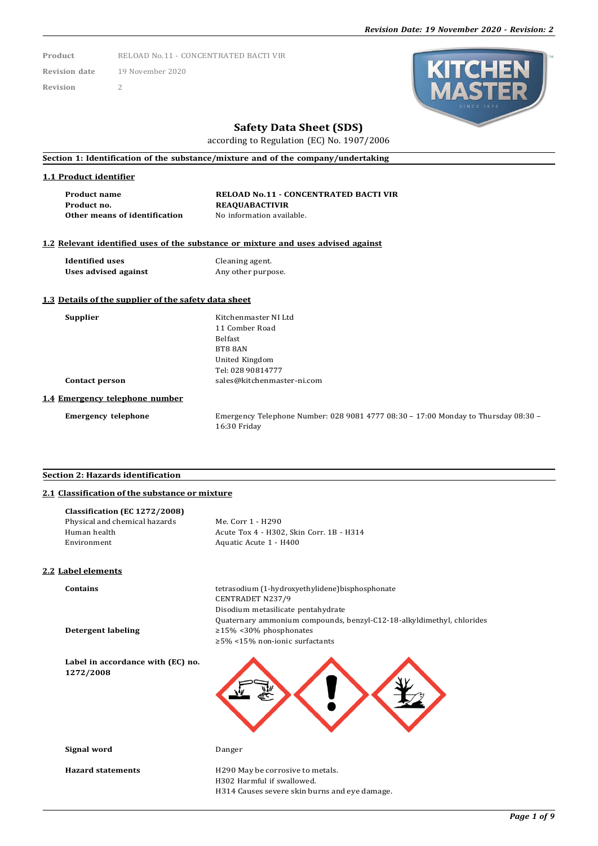**Product** RELOAD No.11 - CONCENTRATED BACTI VIR

**Revision date** 19 November 2020

**Revision** 2



## **Safety Data Sheet (SDS)**

according to Regulation (EC) No. 1907/2006

**Section 1: Identification of the substance/mixture and of the company/undertaking**

#### **1.1 Product identifier**

**Product name RELOAD No.11 - CONCENTRATED BACTI VIR Product no. REAQUABACTIVIR Other means of identification** No information available.

### **1.2 Relevant identified uses of the substance or mixture and uses advised against**

**Identified uses** Cleaning agent.<br> **Uses advised against** Any other purpose. **Uses** advised against

### **1.3 Details of the supplier of the safety data sheet**

**Supplier** Kitchenmaster NI Ltd 11 Comber Road Belfast BT8 8AN United Kingdom Tel: 028 90814777 **Contact person** [sales@kitchenmaster-ni.com](mailto:sales@kitchenmaster-ni.com)

#### **1.4 Emergency telephone number**

**Emergency telephone** Emergency Telephone Number: 028 9081 4777 08:30 – 17:00 Monday to Thursday 08:30 – 16:30 Friday

#### **Section 2: Hazards identification**

## **2.1 Classification of the substance or mixture**

| Classification (EC 1272/2008)<br>Physical and chemical hazards<br>Human health<br>Environment | Me. Corr 1 - H290<br>Acute Tox 4 - H302, Skin Corr. 1B - H314<br>Aquatic Acute 1 - H400                                                                                                                                    |
|-----------------------------------------------------------------------------------------------|----------------------------------------------------------------------------------------------------------------------------------------------------------------------------------------------------------------------------|
| 2.2 Label elements                                                                            |                                                                                                                                                                                                                            |
| <b>Contains</b><br><b>Detergent labeling</b>                                                  | tetrasodium (1-hydroxyethylidene) bisphosphonate<br><b>CENTRADET N237/9</b><br>Disodium metasilicate pentahydrate<br>Quaternary ammonium compounds, benzyl-C12-18-alkyldimethyl, chlorides<br>$\geq$ 15% <30% phosphonates |
|                                                                                               | $\geq$ 5% <15% non-ionic surfactants                                                                                                                                                                                       |
| Label in accordance with (EC) no.<br>1272/2008                                                |                                                                                                                                                                                                                            |
| Signal word                                                                                   | Danger                                                                                                                                                                                                                     |
| <b>Hazard statements</b>                                                                      | H290 May be corrosive to metals.<br>H302 Harmful if swallowed.<br>H314 Causes severe skin burns and eye damage.                                                                                                            |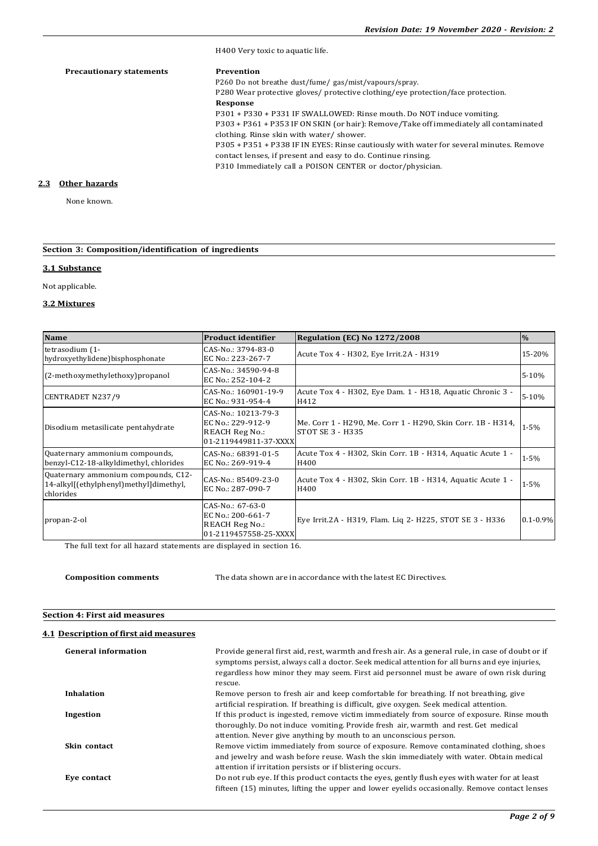H400 Very toxic to aquatic life. **Precautionary statements Prevention** P260 Do not breathe dust/fume/ gas/mist/vapours/spray. P280 Wear protective gloves/ protective clothing/eye protection/face protection. **Response** P301 + P330 + P331 IF SWALLOWED: Rinse mouth. Do NOT induce vomiting. P303 + P361 + P353 IF ON SKIN (or hair): Remove/Take off immediately all contaminated clothing. Rinse skin with water/ shower. P305 + P351 + P338 IF IN EYES: Rinse cautiously with water for several minutes. Remove contact lenses, if present and easy to do. Continue rinsing. P310 Immediately call a POISON CENTER or doctor/physician.

## **2.3 Other hazards**

None known.

## **Section 3: Composition/identification of ingredients**

#### **3.1 Substance**

Not applicable.

#### **3.2 Mixtures**

| <b>Name</b>                                                                                | <b>Product identifier</b>                                                                  | Regulation (EC) No 1272/2008                                                    | $\frac{0}{0}$ |
|--------------------------------------------------------------------------------------------|--------------------------------------------------------------------------------------------|---------------------------------------------------------------------------------|---------------|
| tetrasodium (1-<br>hydroxyethylidene)bisphosphonate                                        | CAS-No.: 3794-83-0<br>EC No.: 223-267-7                                                    | Acute Tox 4 - H302, Eye Irrit.2A - H319                                         | 15-20%        |
| (2-methoxymethylethoxy) propanol                                                           | CAS-No.: 34590-94-8<br>EC No.: 252-104-2                                                   |                                                                                 | $5 - 10%$     |
| <b>CENTRADET N237/9</b>                                                                    | CAS-No.: 160901-19-9<br>EC No.: 931-954-4                                                  | Acute Tox 4 - H302, Eye Dam. 1 - H318, Aquatic Chronic 3 -<br>H412              | 5-10%         |
| Disodium metasilicate pentahydrate                                                         | CAS-No.: 10213-79-3<br>EC No.: 229-912-9<br><b>REACH Reg No.:</b><br>01-2119449811-37-XXXX | Me. Corr 1 - H290, Me. Corr 1 - H290, Skin Corr. 1B - H314,<br>STOT SE 3 - H335 | $1 - 5%$      |
| Quaternary ammonium compounds,<br>benzyl-C12-18-alkyldimethyl, chlorides                   | CAS-No.: 68391-01-5<br>EC No.: 269-919-4                                                   | Acute Tox 4 - H302, Skin Corr. 1B - H314, Aquatic Acute 1 -<br>H400             | $1 - 5\%$     |
| Quaternary ammonium compounds, C12-<br>14-alkyl[(ethylphenyl)methyl]dimethyl,<br>chlorides | CAS-No.: 85409-23-0<br>EC No.: 287-090-7                                                   | Acute Tox 4 - H302, Skin Corr. 1B - H314, Aquatic Acute 1 -<br>H400             | $1 - 5%$      |
| propan-2-ol                                                                                | CAS-No.: 67-63-0<br>EC No.: 200-661-7<br><b>REACH Reg No.:</b><br>01-2119457558-25-XXXX    | Eye Irrit.2A - H319, Flam. Liq 2- H225, STOT SE 3 - H336                        | $0.1 - 0.9\%$ |

The full text for all hazard statements are displayed in section 16.

**Composition comments** The data shown are in accordance with the latest EC Directives.

#### **Section 4: First aid measures**

## **4.1 Description of first aid measures**

| <b>General information</b> | Provide general first aid, rest, warmth and fresh air. As a general rule, in case of doubt or if<br>symptoms persist, always call a doctor. Seek medical attention for all burns and eye injuries,<br>regardless how minor they may seem. First aid personnel must be aware of own risk during<br>rescue. |
|----------------------------|-----------------------------------------------------------------------------------------------------------------------------------------------------------------------------------------------------------------------------------------------------------------------------------------------------------|
| <b>Inhalation</b>          | Remove person to fresh air and keep comfortable for breathing. If not breathing, give<br>artificial respiration. If breathing is difficult, give oxygen. Seek medical attention.                                                                                                                          |
| Ingestion                  | If this product is ingested, remove victim immediately from source of exposure. Rinse mouth<br>thoroughly. Do not induce vomiting. Provide fresh air, warmth and rest. Get medical<br>attention. Never give anything by mouth to an unconscious person.                                                   |
| Skin contact               | Remove victim immediately from source of exposure. Remove contaminated clothing, shoes<br>and jewelry and wash before reuse. Wash the skin immediately with water. Obtain medical<br>attention if irritation persists or if blistering occurs.                                                            |
| Eve contact                | Do not rub eye. If this product contacts the eyes, gently flush eyes with water for at least<br>fifteen (15) minutes, lifting the upper and lower eyelids occasionally. Remove contact lenses                                                                                                             |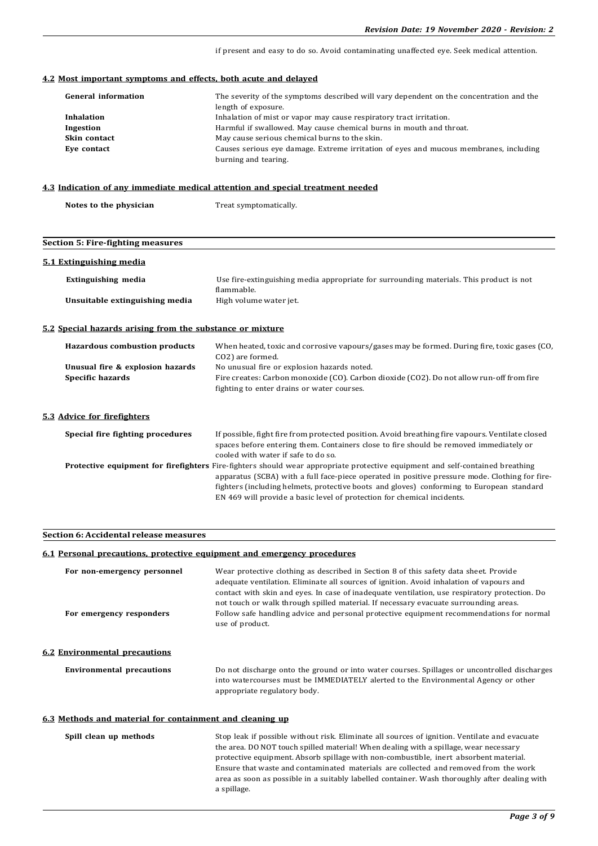if present and easy to do so. Avoid contaminating unaffected eye. Seek medical attention.

#### **4.2 Most important symptoms and effects, both acute and delayed**

| <b>General information</b> | The severity of the symptoms described will vary dependent on the concentration and the |
|----------------------------|-----------------------------------------------------------------------------------------|
|                            | length of exposure.                                                                     |
| Inhalation                 | Inhalation of mist or vapor may cause respiratory tract irritation.                     |
| Ingestion                  | Harmful if swallowed. May cause chemical burns in mouth and throat.                     |
| Skin contact               | May cause serious chemical burns to the skin.                                           |
| Eye contact                | Causes serious eye damage. Extreme irritation of eyes and mucous membranes, including   |
|                            | burning and tearing.                                                                    |

#### **4.3 Indication of any immediate medical attention and special treatment needed**

# **Section 5: Fire-fighting measures 5.1 Extinguishing media Extinguishing media** Use fire-extinguishing media appropriate for surrounding materials. This product is not flammable. **Unsuitable extinguishing media** High volume water jet. **5.2 Special hazards arising from the substance or mixture Hazardous combustion products** When heated, toxic and corrosive vapours/gases may be formed. During fire, toxic gases (CO, CO2) are formed. **Unusual fire & explosion hazards** No unusual fire or explosion hazards noted. **Specific hazards** Fire creates: Carbon monoxide (CO). Carbon dioxide (CO2). Do not allow run-off from fire fighting to enter drains or water courses. **5.3 Advice for firefighters Special fire fighting procedures** If possible, fight fire from protected position. Avoid breathing fire vapours. Ventilate closed spaces before entering them. Containers close to fire should be removed immediately or cooled with water if safe to do so. **Protective equipment for firefighters** Fire-fighters should wear appropriate protective equipment and self-contained breathing apparatus (SCBA) with a full face-piece operated in positive pressure mode. Clothing for firefighters (including helmets, protective boots and gloves) conforming to European standard EN 469 will provide a basic level of protection for chemical incidents.

#### **Section 6: Accidental release measures**

#### **6.1 Personal precautions, protective equipment and emergency procedures**

| For non-emergency personnel<br>For emergency responders | Wear protective clothing as described in Section 8 of this safety data sheet. Provide<br>adequate ventilation. Eliminate all sources of ignition. Avoid inhalation of vapours and<br>contact with skin and eyes. In case of inadequate ventilation, use respiratory protection. Do<br>not touch or walk through spilled material. If necessary evacuate surrounding areas.<br>Follow safe handling advice and personal protective equipment recommendations for normal<br>use of product. |  |  |
|---------------------------------------------------------|-------------------------------------------------------------------------------------------------------------------------------------------------------------------------------------------------------------------------------------------------------------------------------------------------------------------------------------------------------------------------------------------------------------------------------------------------------------------------------------------|--|--|
| <b>6.2 Environmental precautions</b>                    |                                                                                                                                                                                                                                                                                                                                                                                                                                                                                           |  |  |
| <b>Environmental precautions</b>                        | Do not discharge onto the ground or into water courses. Spillages or uncontrolled discharges<br>into watercourses must be IMMEDIATELY alerted to the Environmental Agency or other<br>appropriate regulatory body.                                                                                                                                                                                                                                                                        |  |  |

#### **6.3 Methods and material for containment and cleaning up**

| Spill clean up methods | Stop leak if possible without risk. Eliminate all sources of ignition. Ventilate and evacuate |
|------------------------|-----------------------------------------------------------------------------------------------|
|                        | the area. DO NOT touch spilled material! When dealing with a spillage, wear necessary         |
|                        | protective equipment. Absorb spillage with non-combustible, inert absorbent material.         |
|                        | Ensure that waste and contaminated materials are collected and removed from the work          |
|                        | area as soon as possible in a suitably labelled container. Wash thoroughly after dealing with |
|                        | a spillage.                                                                                   |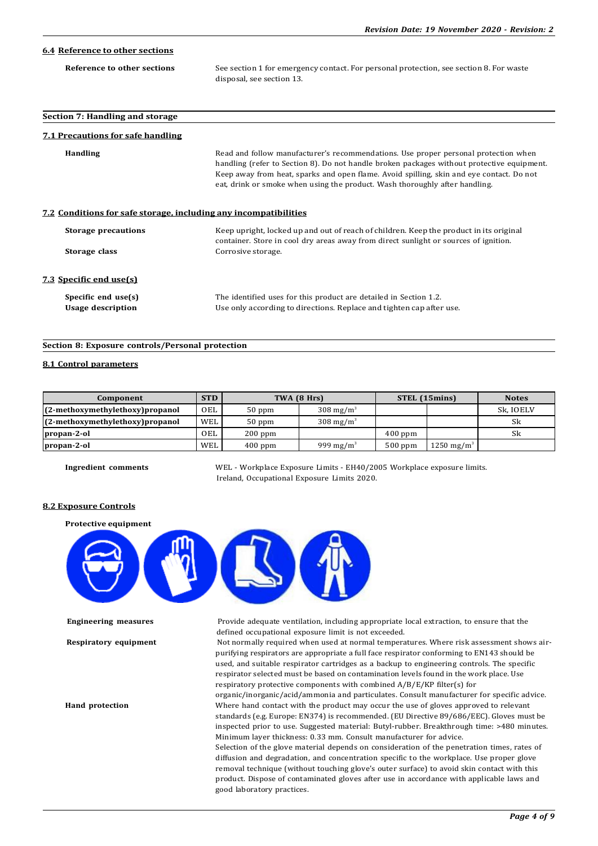| 6.4 Reference to other sections                                  |                                                                                                                                                                                                                                                                                                                                                              |
|------------------------------------------------------------------|--------------------------------------------------------------------------------------------------------------------------------------------------------------------------------------------------------------------------------------------------------------------------------------------------------------------------------------------------------------|
| Reference to other sections                                      | See section 1 for emergency contact. For personal protection, see section 8. For waste<br>disposal, see section 13.                                                                                                                                                                                                                                          |
| Section 7: Handling and storage                                  |                                                                                                                                                                                                                                                                                                                                                              |
| <b>7.1 Precautions for safe handling</b>                         |                                                                                                                                                                                                                                                                                                                                                              |
| <b>Handling</b>                                                  | Read and follow manufacturer's recommendations. Use proper personal protection when<br>handling (refer to Section 8). Do not handle broken packages without protective equipment.<br>Keep away from heat, sparks and open flame. Avoid spilling, skin and eye contact. Do not<br>eat, drink or smoke when using the product. Wash thoroughly after handling. |
| 7.2 Conditions for safe storage, including any incompatibilities |                                                                                                                                                                                                                                                                                                                                                              |
| <b>Storage precautions</b><br>Storage class                      | Keep upright, locked up and out of reach of children. Keep the product in its original<br>container. Store in cool dry areas away from direct sunlight or sources of ignition.<br>Corrosive storage.                                                                                                                                                         |
| 7.3 Specific end use(s)                                          |                                                                                                                                                                                                                                                                                                                                                              |
| Specific end use(s)<br><b>Usage description</b>                  | The identified uses for this product are detailed in Section 1.2.<br>Use only according to directions. Replace and tighten cap after use.                                                                                                                                                                                                                    |

#### **Section 8: Exposure controls/Personal protection**

#### **8.1 Control parameters**

| Component                          | <b>STD</b> | TWA (8 Hrs) |                       | STEL (15mins) |                        | <b>Notes</b> |
|------------------------------------|------------|-------------|-----------------------|---------------|------------------------|--------------|
| $(2-methoxymethylethoxy)$ propanol | OEL        | $50$ ppm    | $308 \text{ mg/m}^3$  |               |                        | Sk, IOELV    |
| $(2-methoxymethylethoxy)$ propanol | WEL        | $50$ ppm    | $308 \text{ mg/m}^3$  |               |                        | Sk           |
| propan-2-ol                        | OEL        | $200$ ppm   |                       | $400$ ppm     |                        | Sk           |
| propan-2-ol                        | WEL        | $400$ ppm   | 999 mg/m <sup>3</sup> | $500$ ppm     | 1250 mg/m <sup>3</sup> |              |

**Ingredient comments** WEL - Workplace Exposure Limits - EH40/2005 Workplace exposure limits. Ireland, Occupational Exposure Limits 2020.

#### **8.2 Exposure Controls**

**Protective equipment**



**Engineering measures** Provide adequate ventilation, including appropriate local extraction, to ensure that the defined occupational exposure limit is not exceeded.

**Respiratory equipment** Not normally required when used at normal temperatures. Where risk assessment shows airpurifying respirators are appropriate a full face respirator conforming to EN143 should be used, and suitable respirator cartridges as a backup to engineering controls. The specific respirator selected must be based on contamination levels found in the work place. Use respiratory protective components with combined A/B/E/KP filter(s) for organic/inorganic/acid/ammonia and particulates. Consult manufacturer for specific advice.

**Hand protection** Where hand contact with the product may occur the use of gloves approved to relevant standards (e.g. Europe: EN374) is recommended. (EU Directive 89/686/EEC). Gloves must be inspected prior to use. Suggested material: Butyl-rubber. Breakthrough time: >480 minutes. Minimum layer thickness: 0.33 mm. Consult manufacturer for advice.

> Selection of the glove material depends on consideration of the penetration times, rates of diffusion and degradation, and concentration specific to the workplace. Use proper glove removal technique (without touching glove's outer surface) to avoid skin contact with this product. Dispose of contaminated gloves after use in accordance with applicable laws and good laboratory practices.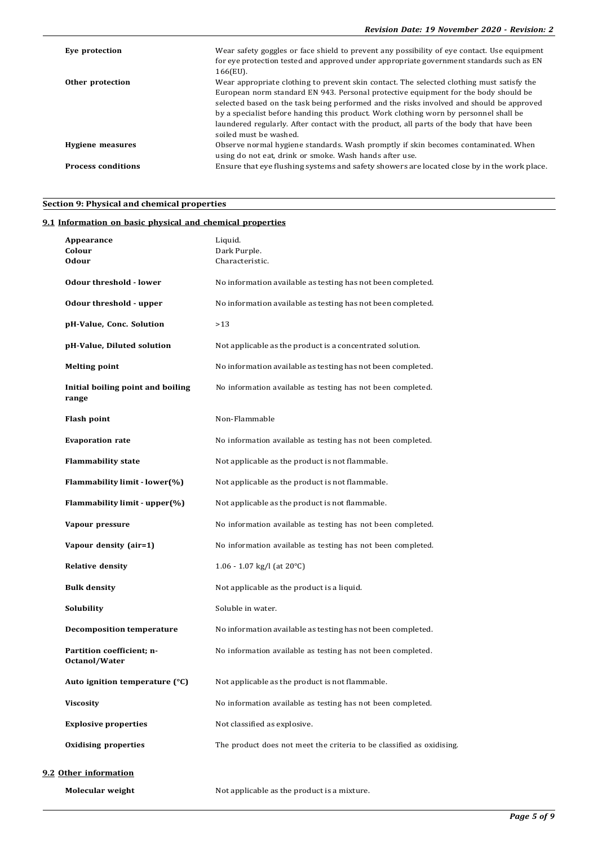| Eye protection            | Wear safety goggles or face shield to prevent any possibility of eye contact. Use equipment<br>for eye protection tested and approved under appropriate government standards such as EN<br>166(EU).                                                                                                                                                                                                                                                                                          |
|---------------------------|----------------------------------------------------------------------------------------------------------------------------------------------------------------------------------------------------------------------------------------------------------------------------------------------------------------------------------------------------------------------------------------------------------------------------------------------------------------------------------------------|
| Other protection          | Wear appropriate clothing to prevent skin contact. The selected clothing must satisfy the<br>European norm standard EN 943. Personal protective equipment for the body should be<br>selected based on the task being performed and the risks involved and should be approved<br>by a specialist before handing this product. Work clothing worn by personnel shall be<br>laundered regularly. After contact with the product, all parts of the body that have been<br>soiled must be washed. |
| <b>Hygiene</b> measures   | Observe normal hygiene standards. Wash promptly if skin becomes contaminated. When<br>using do not eat, drink or smoke. Wash hands after use.                                                                                                                                                                                                                                                                                                                                                |
| <b>Process conditions</b> | Ensure that eye flushing systems and safety showers are located close by in the work place.                                                                                                                                                                                                                                                                                                                                                                                                  |

## **Section 9: Physical and chemical properties**

## **9.1 Information on basic physical and chemical properties**

| Appearance<br>Colour<br><b>Odour</b>       | Liquid.<br>Dark Purple.<br>Characteristic.                            |
|--------------------------------------------|-----------------------------------------------------------------------|
| <b>Odour threshold - lower</b>             | No information available as testing has not been completed.           |
| Odour threshold - upper                    | No information available as testing has not been completed.           |
| pH-Value, Conc. Solution                   | >13                                                                   |
| pH-Value, Diluted solution                 | Not applicable as the product is a concentrated solution.             |
| <b>Melting point</b>                       | No information available as testing has not been completed.           |
| Initial boiling point and boiling<br>range | No information available as testing has not been completed.           |
| <b>Flash point</b>                         | Non-Flammable                                                         |
| <b>Evaporation rate</b>                    | No information available as testing has not been completed.           |
| <b>Flammability state</b>                  | Not applicable as the product is not flammable.                       |
| Flammability limit - lower(%)              | Not applicable as the product is not flammable.                       |
| Flammability limit - upper(%)              | Not applicable as the product is not flammable.                       |
| Vapour pressure                            | No information available as testing has not been completed.           |
| Vapour density (air=1)                     | No information available as testing has not been completed.           |
| <b>Relative density</b>                    | 1.06 - 1.07 kg/l (at $20^{\circ}$ C)                                  |
| <b>Bulk density</b>                        | Not applicable as the product is a liquid.                            |
| Solubility                                 | Soluble in water.                                                     |
| <b>Decomposition temperature</b>           | No information available as testing has not been completed.           |
| Partition coefficient; n-<br>Octanol/Water | No information available as testing has not been completed.           |
| Auto ignition temperature $(°C)$           | Not applicable as the product is not flammable.                       |
| <b>Viscosity</b>                           | No information available as testing has not been completed.           |
| <b>Explosive properties</b>                | Not classified as explosive.                                          |
| <b>Oxidising properties</b>                | The product does not meet the criteria to be classified as oxidising. |
|                                            |                                                                       |

## **9.2 Other information**

**Molecular weight Molecular weight Molecular weight Molecular weight Molecular Molecular Molecular Molecular Molecular Molecular Molecular Molecular Molecular Molecular Molecular Molecul**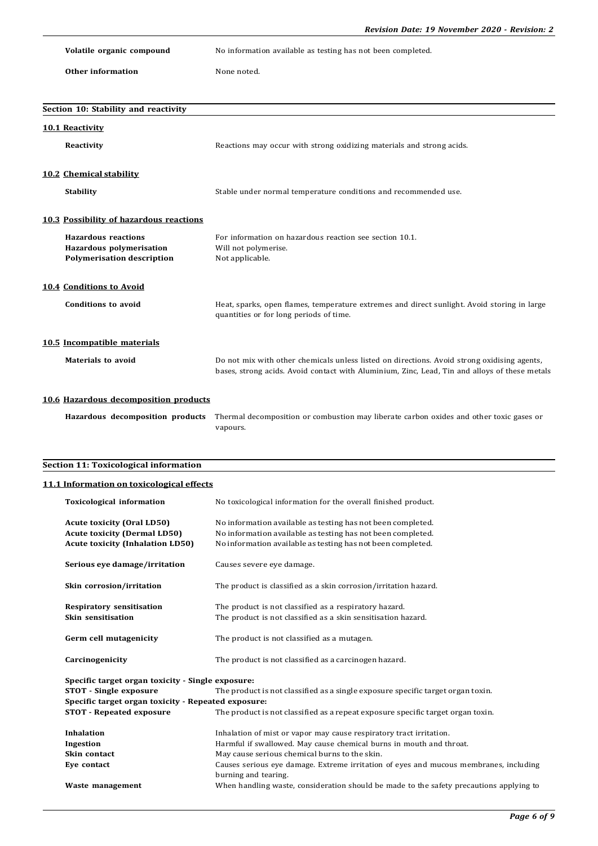**Volatile organic compound** No information available as testing has not been completed.

**Other information** None noted.

| Section 10: Stability and reactivity    |                                                                                               |
|-----------------------------------------|-----------------------------------------------------------------------------------------------|
| 10.1 Reactivity                         |                                                                                               |
| Reactivity                              | Reactions may occur with strong oxidizing materials and strong acids.                         |
|                                         |                                                                                               |
| 10.2 Chemical stability                 |                                                                                               |
| <b>Stability</b>                        | Stable under normal temperature conditions and recommended use.                               |
|                                         |                                                                                               |
| 10.3 Possibility of hazardous reactions |                                                                                               |
| <b>Hazardous reactions</b>              | For information on hazardous reaction see section 10.1.                                       |
| <b>Hazardous polymerisation</b>         | Will not polymerise.                                                                          |
| <b>Polymerisation description</b>       | Not applicable.                                                                               |
|                                         |                                                                                               |
| 10.4 Conditions to Avoid                |                                                                                               |
| <b>Conditions to avoid</b>              | Heat, sparks, open flames, temperature extremes and direct sunlight. Avoid storing in large   |
|                                         | quantities or for long periods of time.                                                       |
|                                         |                                                                                               |
| 10.5 Incompatible materials             |                                                                                               |
| <b>Materials to avoid</b>               | Do not mix with other chemicals unless listed on directions. Avoid strong oxidising agents,   |
|                                         | bases, strong acids. Avoid contact with Aluminium, Zinc, Lead, Tin and alloys of these metals |
|                                         |                                                                                               |
| 10.6 Hazardous decomposition products   |                                                                                               |
| Hazardous decomposition products        | Thermal decomposition or combustion may liberate carbon oxides and other toxic gases or       |
|                                         | vapours.                                                                                      |

## **Section 11: Toxicological information**

## **11.1 Information on toxicological effects**

| <b>Toxicological information</b>                                                                                    | No toxicological information for the overall finished product.                                                                                                                            |  |
|---------------------------------------------------------------------------------------------------------------------|-------------------------------------------------------------------------------------------------------------------------------------------------------------------------------------------|--|
| <b>Acute toxicity (Oral LD50)</b><br><b>Acute toxicity (Dermal LD50)</b><br><b>Acute toxicity (Inhalation LD50)</b> | No information available as testing has not been completed.<br>No information available as testing has not been completed.<br>No information available as testing has not been completed. |  |
| Serious eye damage/irritation                                                                                       | Causes severe eye damage.                                                                                                                                                                 |  |
| Skin corrosion/irritation                                                                                           | The product is classified as a skin corrosion/irritation hazard.                                                                                                                          |  |
| <b>Respiratory sensitisation</b><br>Skin sensitisation                                                              | The product is not classified as a respiratory hazard.<br>The product is not classified as a skin sensitisation hazard.                                                                   |  |
| Germ cell mutagenicity                                                                                              | The product is not classified as a mutagen.                                                                                                                                               |  |
| Carcinogenicity                                                                                                     | The product is not classified as a carcinogen hazard.                                                                                                                                     |  |
| Specific target organ toxicity - Single exposure:                                                                   |                                                                                                                                                                                           |  |
| <b>STOT</b> - Single exposure                                                                                       | The product is not classified as a single exposure specific target organ toxin.                                                                                                           |  |
| Specific target organ toxicity - Repeated exposure:                                                                 |                                                                                                                                                                                           |  |
| <b>STOT - Repeated exposure</b>                                                                                     | The product is not classified as a repeat exposure specific target organ toxin.                                                                                                           |  |
| <b>Inhalation</b>                                                                                                   | Inhalation of mist or vapor may cause respiratory tract irritation.                                                                                                                       |  |
| Ingestion                                                                                                           | Harmful if swallowed. May cause chemical burns in mouth and throat.                                                                                                                       |  |
| Skin contact                                                                                                        | May cause serious chemical burns to the skin.                                                                                                                                             |  |
| Eye contact                                                                                                         | Causes serious eye damage. Extreme irritation of eyes and mucous membranes, including                                                                                                     |  |
|                                                                                                                     | burning and tearing.                                                                                                                                                                      |  |
| Waste management                                                                                                    | When handling waste, consideration should be made to the safety precautions applying to                                                                                                   |  |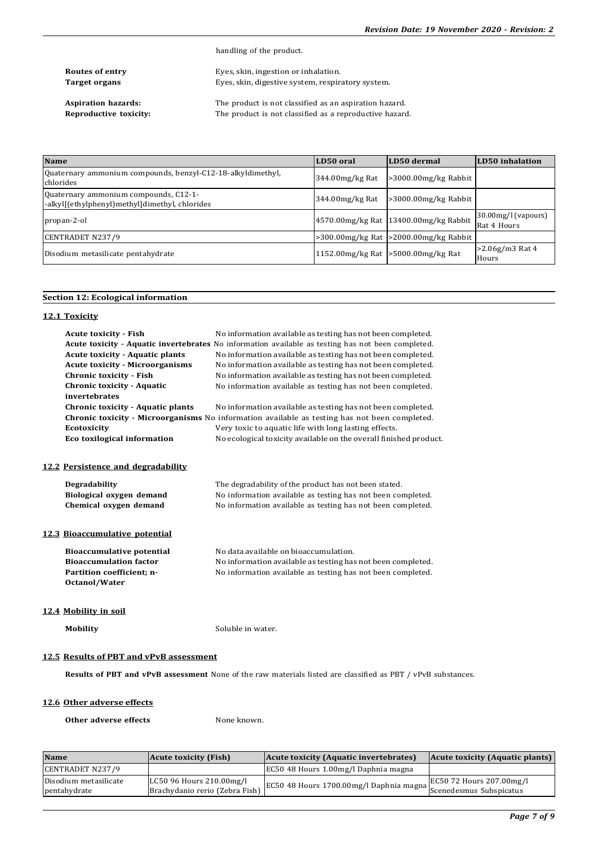handling of the product.

| Routes of entry      |  |
|----------------------|--|
| <b>Target organs</b> |  |

**Routes of entry** Eyes, skin, ingestion or inhalation. Eyes, skin, digestive system, respiratory system.

**Aspiration hazards:** The product is not classified as an aspiration hazard.<br>**Reproductive toxicity:** The product is not classified as a reproductive hazard. The product is not classified as a reproductive hazard.

| <b>Name</b>                                                                             | LD50 oral        | LD50 dermal                                  | LD50 inhalation                       |
|-----------------------------------------------------------------------------------------|------------------|----------------------------------------------|---------------------------------------|
| Ouaternary ammonium compounds, benzyl-C12-18-alkyldimethyl,<br>chlorides                | 344.00 mg/kg Rat | $>3000.00$ mg/kg Rabbit                      |                                       |
| Quaternary ammonium compounds, C12-1-<br>-alkyl[(ethylphenyl)methyl]dimethyl, chlorides | 344.00mg/kg Rat  | $>3000.00$ mg/kg Rabbit                      |                                       |
| propan-2-ol                                                                             |                  | 4570.00 mg/kg Rat 13400.00 mg/kg Rabbit      | $30.00$ mg/l (vapours)<br>Rat 4 Hours |
| CENTRADET N237/9                                                                        |                  | $>300.00$ mg/kg Rat $ >2000.00$ mg/kg Rabbit |                                       |
| Disodium metasilicate pentahydrate                                                      |                  | 1152.00 mg/kg Rat > 5000.00 mg/kg Rat        | $>2.06$ g/m3 Rat 4<br>Hours           |

## **Section 12: Ecological information**

| 12.1 Toxicity                            |                                                                                                    |
|------------------------------------------|----------------------------------------------------------------------------------------------------|
| <b>Acute toxicity - Fish</b>             | No information available as testing has not been completed.                                        |
|                                          | Acute toxicity - Aquatic invertebrates No information available as testing has not been completed. |
| <b>Acute toxicity - Aquatic plants</b>   | No information available as testing has not been completed.                                        |
| <b>Acute toxicity - Microorganisms</b>   | No information available as testing has not been completed.                                        |
| Chronic toxicity - Fish                  | No information available as testing has not been completed.                                        |
| <b>Chronic toxicity - Aquatic</b>        | No information available as testing has not been completed.                                        |
| invertebrates                            |                                                                                                    |
| <b>Chronic toxicity - Aquatic plants</b> | No information available as testing has not been completed.                                        |
|                                          | Chronic toxicity - Microorganisms No information available as testing has not been completed.      |
| <b>Ecotoxicity</b>                       | Very toxic to aquatic life with long lasting effects.                                              |
| Eco toxilogical information              | No ecological toxicity available on the overall finished product.                                  |
|                                          |                                                                                                    |
| 12.2 Persistence and degradability       |                                                                                                    |
| <b>Degradability</b>                     | The degradability of the product has not been stated.                                              |
| Biological oxygen demand                 | No information available as testing has not been completed.                                        |
| Chemical oxygen demand                   | No information available as testing has not been completed.                                        |
|                                          |                                                                                                    |
| 12.3 Bioaccumulative potential           |                                                                                                    |
| <b>Bioaccumulative potential</b>         | No data available on bioaccumulation.                                                              |
| <b>Bioaccumulation factor</b>            | No information available as testing has not been completed.                                        |
| Partition coefficient; n-                | No information available as testing has not been completed.                                        |
| Octanol/Water                            |                                                                                                    |
|                                          |                                                                                                    |
| 12.4 Mobility in soil                    |                                                                                                    |
| <b>Mobility</b>                          | Soluble in water.                                                                                  |
|                                          |                                                                                                    |

## **12.5 Results of PBT and vPvB assessment**

**Results of PBT and vPvB assessment** None of the raw materials listed are classified as PBT / vPvB substances.

## **12.6 Other adverse effects**

**Other adverse effects** None known.

| <b>Name</b>                           | Acute toxicity (Fish)                                      | Acute toxicity (Aquatic invertebrates)                            | Acute toxicity (Aquatic plants) |
|---------------------------------------|------------------------------------------------------------|-------------------------------------------------------------------|---------------------------------|
| CENTRADET N237/9                      |                                                            | EC50 48 Hours 1.00mg/l Daphnia magna                              |                                 |
| Disodium metasilicate<br>pentahydrate | LC50 96 Hours 210.00mg/l<br>Brachydanio rerio (Zebra Fish) | EC50 48 Hours 1700.00mg/l Daphnia magna   Scenedesmus Subspicatus | EC50 72 Hours 207.00mg/l        |
|                                       |                                                            |                                                                   |                                 |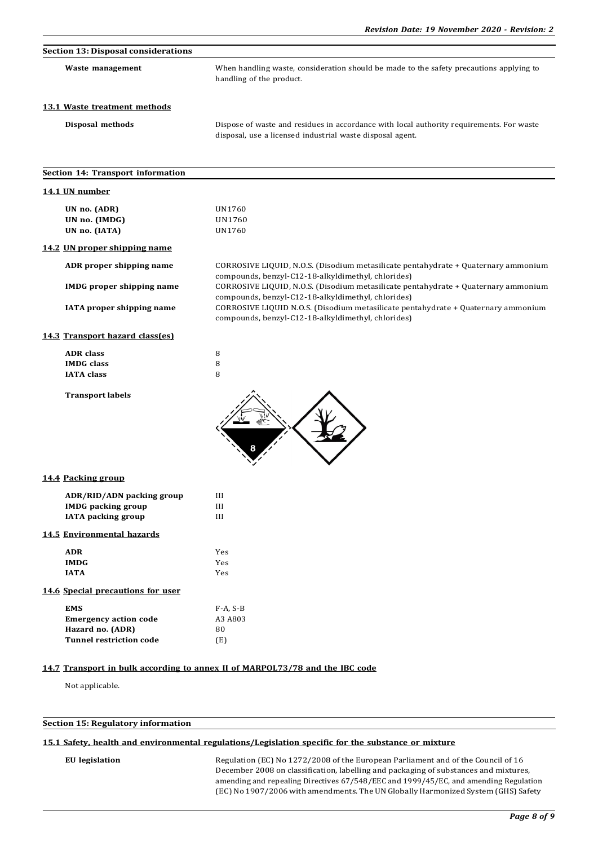| <b>Section 13: Disposal considerations</b><br>Waste management                      | When handling waste, consideration should be made to the safety precautions applying to                                                                                                        |
|-------------------------------------------------------------------------------------|------------------------------------------------------------------------------------------------------------------------------------------------------------------------------------------------|
|                                                                                     | handling of the product.                                                                                                                                                                       |
| 13.1 Waste treatment methods                                                        |                                                                                                                                                                                                |
| Disposal methods                                                                    | Dispose of waste and residues in accordance with local authority requirements. For waste<br>disposal, use a licensed industrial waste disposal agent.                                          |
| Section 14: Transport information                                                   |                                                                                                                                                                                                |
| 14.1 UN number                                                                      |                                                                                                                                                                                                |
| UN no. (ADR)<br>UN no. (IMDG)<br>UN no. (IATA)                                      | UN1760<br>UN1760<br>UN1760                                                                                                                                                                     |
| 14.2 UN proper shipping name                                                        |                                                                                                                                                                                                |
| ADR proper shipping name                                                            | CORROSIVE LIQUID, N.O.S. (Disodium metasilicate pentahydrate + Quaternary ammonium                                                                                                             |
| <b>IMDG</b> proper shipping name                                                    | compounds, benzyl-C12-18-alkyldimethyl, chlorides)<br>CORROSIVE LIQUID, N.O.S. (Disodium metasilicate pentahydrate + Quaternary ammonium<br>compounds, benzyl-C12-18-alkyldimethyl, chlorides) |
| IATA proper shipping name                                                           | CORROSIVE LIQUID N.O.S. (Disodium metasilicate pentahydrate + Quaternary ammonium<br>compounds, benzyl-C12-18-alkyldimethyl, chlorides)                                                        |
| 14.3 Transport hazard class(es)                                                     |                                                                                                                                                                                                |
| <b>ADR</b> class                                                                    | 8                                                                                                                                                                                              |
| <b>IMDG</b> class<br><b>IATA</b> class                                              | 8<br>8                                                                                                                                                                                         |
| <b>Transport labels</b>                                                             |                                                                                                                                                                                                |
| 14.4 Packing group                                                                  |                                                                                                                                                                                                |
| ADR/RID/ADN packing group<br><b>IMDG</b> packing group<br><b>IATA</b> packing group | Ш<br>Ш<br>Ш                                                                                                                                                                                    |
| 14.5 Environmental hazards                                                          |                                                                                                                                                                                                |
| <b>ADR</b>                                                                          | Yes                                                                                                                                                                                            |
| <b>IMDG</b><br><b>IATA</b>                                                          | Yes<br>Yes                                                                                                                                                                                     |
| 14.6 Special precautions for user                                                   |                                                                                                                                                                                                |
| <b>EMS</b>                                                                          | $F-A, S-B$                                                                                                                                                                                     |
| <b>Emergency action code</b>                                                        | A3 A803                                                                                                                                                                                        |
| Hazard no. (ADR)                                                                    | 80                                                                                                                                                                                             |
| <b>Tunnel restriction code</b>                                                      | (E)                                                                                                                                                                                            |

Not applicable.

## **Section 15: Regulatory information**

## **15.1 Safety, health and environmental regulations/Legislation specific for the substance or mixture**

**EU legislation** Regulation (EC) No 1272/2008 of the European Parliament and of the Council of 16 December 2008 on classification, labelling and packaging of substances and mixtures, amending and repealing Directives 67/548/EEC and 1999/45/EC, and amending Regulation (EC) No 1907/2006 with amendments. The UN Globally Harmonized System (GHS) Safety